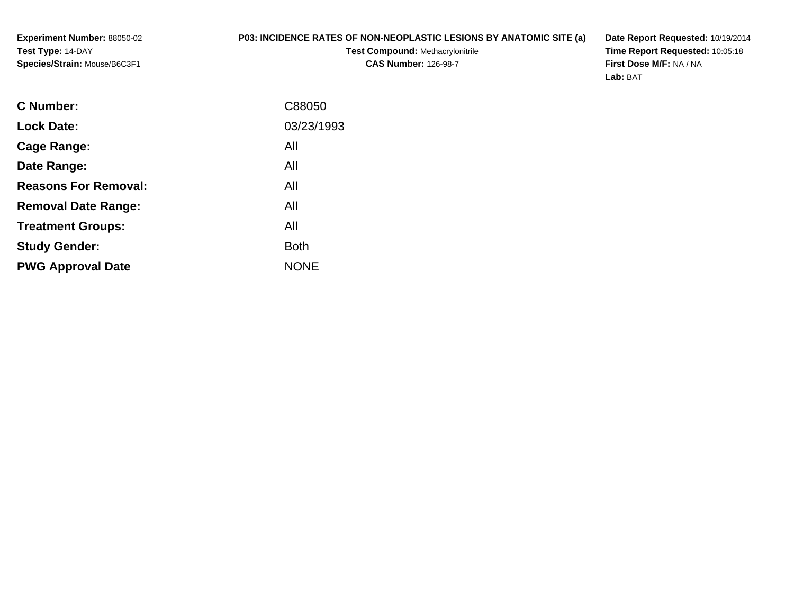**Experiment Number:** 88050-02**Test Type:** 14-DAY**Species/Strain:** Mouse/B6C3F1

## **P03: INCIDENCE RATES OF NON-NEOPLASTIC LESIONS BY ANATOMIC SITE (a)**

**Test Compound:** Methacrylonitrile**CAS Number:** 126-98-7

**Date Report Requested:** 10/19/2014 **Time Report Requested:** 10:05:18**First Dose M/F:** NA / NA**Lab:** BAT

| C88050      |
|-------------|
| 03/23/1993  |
| All         |
| All         |
| All         |
| All         |
| All         |
| <b>Both</b> |
| <b>NONE</b> |
|             |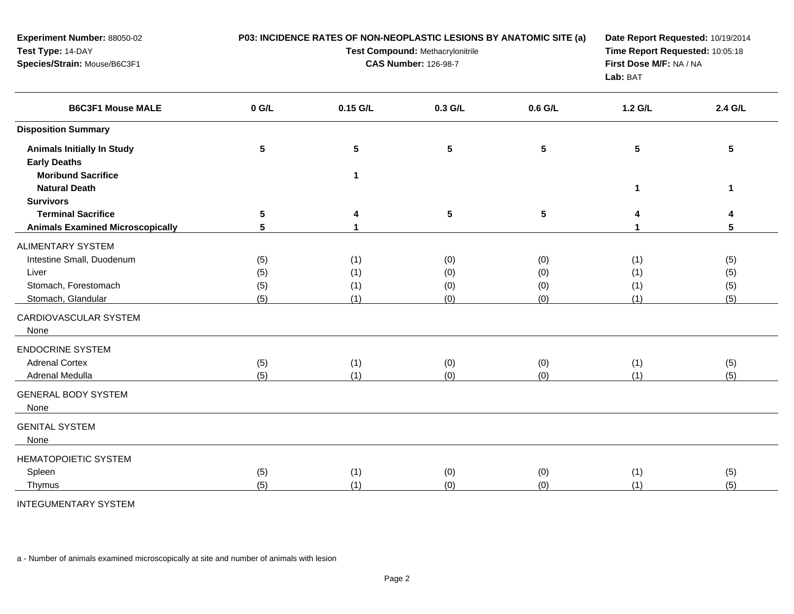| Experiment Number: 88050-02<br>Test Type: 14-DAY<br>Species/Strain: Mouse/B6C3F1         | P03: INCIDENCE RATES OF NON-NEOPLASTIC LESIONS BY ANATOMIC SITE (a)<br>Test Compound: Methacrylonitrile<br><b>CAS Number: 126-98-7</b> |                                         |                          |                          | Date Report Requested: 10/19/2014<br>Time Report Requested: 10:05:18<br>First Dose M/F: NA / NA<br>Lab: BAT |                          |
|------------------------------------------------------------------------------------------|----------------------------------------------------------------------------------------------------------------------------------------|-----------------------------------------|--------------------------|--------------------------|-------------------------------------------------------------------------------------------------------------|--------------------------|
| <b>B6C3F1 Mouse MALE</b>                                                                 | $0$ G/L                                                                                                                                | 0.15 G/L                                | 0.3 G/L                  | 0.6 G/L                  | 1.2 G/L                                                                                                     | 2.4 G/L                  |
| <b>Disposition Summary</b>                                                               |                                                                                                                                        |                                         |                          |                          |                                                                                                             |                          |
| <b>Animals Initially In Study</b><br><b>Early Deaths</b><br><b>Moribund Sacrifice</b>    | $\sqrt{5}$                                                                                                                             | $5\phantom{.0}$<br>$\blacktriangleleft$ | ${\bf 5}$                | 5                        | 5                                                                                                           | 5                        |
| <b>Natural Death</b>                                                                     |                                                                                                                                        |                                         |                          |                          | 1                                                                                                           | $\mathbf{1}$             |
| <b>Survivors</b><br><b>Terminal Sacrifice</b><br><b>Animals Examined Microscopically</b> | 5<br>$5\phantom{1}$                                                                                                                    | 4<br>$\mathbf{1}$                       | $5\phantom{.0}$          | 5                        | 4<br>1                                                                                                      | 4<br>5                   |
| <b>ALIMENTARY SYSTEM</b>                                                                 |                                                                                                                                        |                                         |                          |                          |                                                                                                             |                          |
| Intestine Small, Duodenum<br>Liver<br>Stomach, Forestomach<br>Stomach, Glandular         | (5)<br>(5)<br>(5)<br>(5)                                                                                                               | (1)<br>(1)<br>(1)<br>(1)                | (0)<br>(0)<br>(0)<br>(0) | (0)<br>(0)<br>(0)<br>(0) | (1)<br>(1)<br>(1)<br>(1)                                                                                    | (5)<br>(5)<br>(5)<br>(5) |
| CARDIOVASCULAR SYSTEM<br>None                                                            |                                                                                                                                        |                                         |                          |                          |                                                                                                             |                          |
| <b>ENDOCRINE SYSTEM</b><br><b>Adrenal Cortex</b><br>Adrenal Medulla                      | (5)<br>(5)                                                                                                                             | (1)<br>(1)                              | (0)<br>(0)               | (0)<br>(0)               | (1)<br>(1)                                                                                                  | (5)<br>(5)               |
| <b>GENERAL BODY SYSTEM</b><br>None                                                       |                                                                                                                                        |                                         |                          |                          |                                                                                                             |                          |
| <b>GENITAL SYSTEM</b><br>None                                                            |                                                                                                                                        |                                         |                          |                          |                                                                                                             |                          |
| <b>HEMATOPOIETIC SYSTEM</b><br>Spleen<br>Thymus                                          | (5)<br>(5)                                                                                                                             | (1)<br>(1)                              | (0)<br>(0)               | (0)<br>(0)               | (1)<br>(1)                                                                                                  | (5)<br>(5)               |

INTEGUMENTARY SYSTEM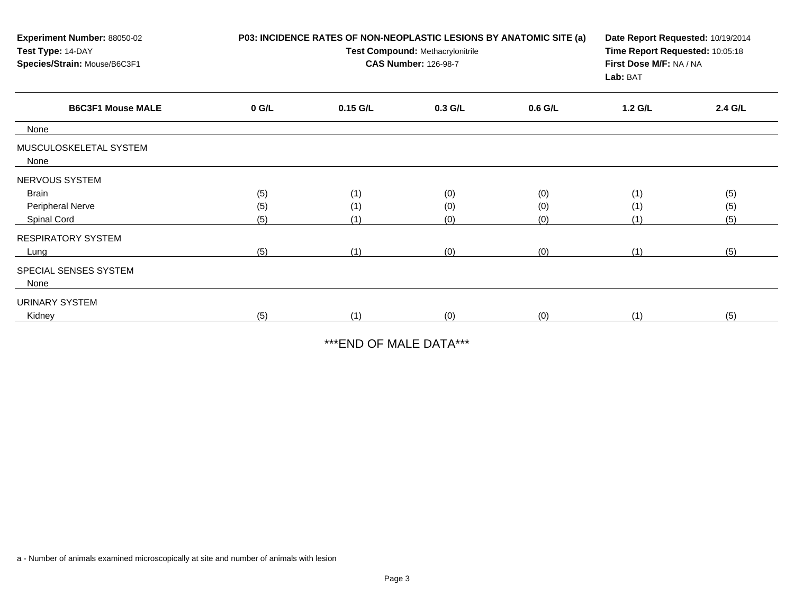| Experiment Number: 88050-02<br>Test Type: 14-DAY<br>Species/Strain: Mouse/B6C3F1 |         | P03: INCIDENCE RATES OF NON-NEOPLASTIC LESIONS BY ANATOMIC SITE (a)<br>Test Compound: Methacrylonitrile<br><b>CAS Number: 126-98-7</b> | Date Report Requested: 10/19/2014<br>Time Report Requested: 10:05:18<br>First Dose M/F: NA / NA<br>Lab: BAT |           |         |         |
|----------------------------------------------------------------------------------|---------|----------------------------------------------------------------------------------------------------------------------------------------|-------------------------------------------------------------------------------------------------------------|-----------|---------|---------|
| <b>B6C3F1 Mouse MALE</b>                                                         | $0$ G/L | 0.15 G/L                                                                                                                               | $0.3$ G/L                                                                                                   | $0.6$ G/L | 1.2 G/L | 2.4 G/L |
| None                                                                             |         |                                                                                                                                        |                                                                                                             |           |         |         |
| MUSCULOSKELETAL SYSTEM<br>None                                                   |         |                                                                                                                                        |                                                                                                             |           |         |         |
| NERVOUS SYSTEM                                                                   |         |                                                                                                                                        |                                                                                                             |           |         |         |
| Brain                                                                            | (5)     | (1)                                                                                                                                    | (0)                                                                                                         | (0)       | (1)     | (5)     |
| Peripheral Nerve                                                                 | (5)     | (1)                                                                                                                                    | (0)                                                                                                         | (0)       | (1)     | (5)     |
| Spinal Cord                                                                      | (5)     | (1)                                                                                                                                    | (0)                                                                                                         | (0)       |         | (5)     |
| <b>RESPIRATORY SYSTEM</b>                                                        |         |                                                                                                                                        |                                                                                                             |           |         |         |
| Lung                                                                             | (5)     | (1)                                                                                                                                    | (0)                                                                                                         | (0)       | (1)     | (5)     |
| SPECIAL SENSES SYSTEM<br>None                                                    |         |                                                                                                                                        |                                                                                                             |           |         |         |
| URINARY SYSTEM                                                                   |         |                                                                                                                                        |                                                                                                             |           |         |         |
| Kidney                                                                           | (5)     | (1)                                                                                                                                    | (0)                                                                                                         | (0)       | (1)     | (5)     |

\*\*\*END OF MALE DATA\*\*\*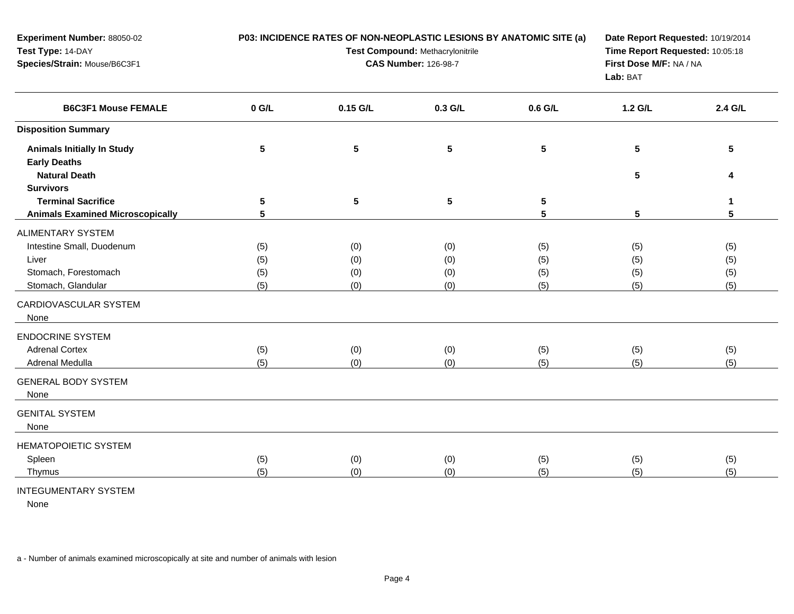| Experiment Number: 88050-02<br>Test Type: 14-DAY<br>Species/Strain: Mouse/B6C3F1 | P03: INCIDENCE RATES OF NON-NEOPLASTIC LESIONS BY ANATOMIC SITE (a)<br>Test Compound: Methacrylonitrile<br><b>CAS Number: 126-98-7</b> |                 |           |                 | Date Report Requested: 10/19/2014<br>Time Report Requested: 10:05:18<br>First Dose M/F: NA / NA<br>Lab: BAT |         |
|----------------------------------------------------------------------------------|----------------------------------------------------------------------------------------------------------------------------------------|-----------------|-----------|-----------------|-------------------------------------------------------------------------------------------------------------|---------|
| <b>B6C3F1 Mouse FEMALE</b>                                                       | $0$ G/L                                                                                                                                | 0.15 G/L        | 0.3 G/L   | 0.6 G/L         | 1.2 G/L                                                                                                     | 2.4 G/L |
| <b>Disposition Summary</b>                                                       |                                                                                                                                        |                 |           |                 |                                                                                                             |         |
| <b>Animals Initially In Study</b>                                                | ${\bf 5}$                                                                                                                              | $5\phantom{.0}$ | ${\bf 5}$ | $5\phantom{.0}$ | 5                                                                                                           | 5       |
| <b>Early Deaths</b>                                                              |                                                                                                                                        |                 |           |                 |                                                                                                             |         |
| <b>Natural Death</b>                                                             |                                                                                                                                        |                 |           |                 | 5                                                                                                           | 4       |
| <b>Survivors</b>                                                                 |                                                                                                                                        |                 |           |                 |                                                                                                             |         |
| <b>Terminal Sacrifice</b>                                                        | 5                                                                                                                                      | $5\phantom{.0}$ | ${\bf 5}$ | 5               |                                                                                                             | 1       |
| <b>Animals Examined Microscopically</b>                                          | 5                                                                                                                                      |                 |           | 5               | 5                                                                                                           | 5       |
| <b>ALIMENTARY SYSTEM</b>                                                         |                                                                                                                                        |                 |           |                 |                                                                                                             |         |
| Intestine Small, Duodenum                                                        | (5)                                                                                                                                    | (0)             | (0)       | (5)             | (5)                                                                                                         | (5)     |
| Liver                                                                            | (5)                                                                                                                                    | (0)             | (0)       | (5)             | (5)                                                                                                         | (5)     |
| Stomach, Forestomach                                                             | (5)                                                                                                                                    | (0)             | (0)       | (5)             | (5)                                                                                                         | (5)     |
| Stomach, Glandular                                                               | (5)                                                                                                                                    | (0)             | (0)       | (5)             | (5)                                                                                                         | (5)     |
| CARDIOVASCULAR SYSTEM<br>None                                                    |                                                                                                                                        |                 |           |                 |                                                                                                             |         |
| <b>ENDOCRINE SYSTEM</b>                                                          |                                                                                                                                        |                 |           |                 |                                                                                                             |         |
| <b>Adrenal Cortex</b>                                                            | (5)                                                                                                                                    | (0)             | (0)       | (5)             | (5)                                                                                                         | (5)     |
| Adrenal Medulla                                                                  | (5)                                                                                                                                    | (0)             | (0)       | (5)             | (5)                                                                                                         | (5)     |
| <b>GENERAL BODY SYSTEM</b><br>None                                               |                                                                                                                                        |                 |           |                 |                                                                                                             |         |
| <b>GENITAL SYSTEM</b><br>None                                                    |                                                                                                                                        |                 |           |                 |                                                                                                             |         |
| HEMATOPOIETIC SYSTEM                                                             |                                                                                                                                        |                 |           |                 |                                                                                                             |         |
| Spleen                                                                           | (5)                                                                                                                                    | (0)             | (0)       | (5)             | (5)                                                                                                         | (5)     |
| Thymus                                                                           | (5)                                                                                                                                    | (0)             | (0)       | (5)             | (5)                                                                                                         | (5)     |
| <b>INTEGUMENTARY SYSTEM</b>                                                      |                                                                                                                                        |                 |           |                 |                                                                                                             |         |

None